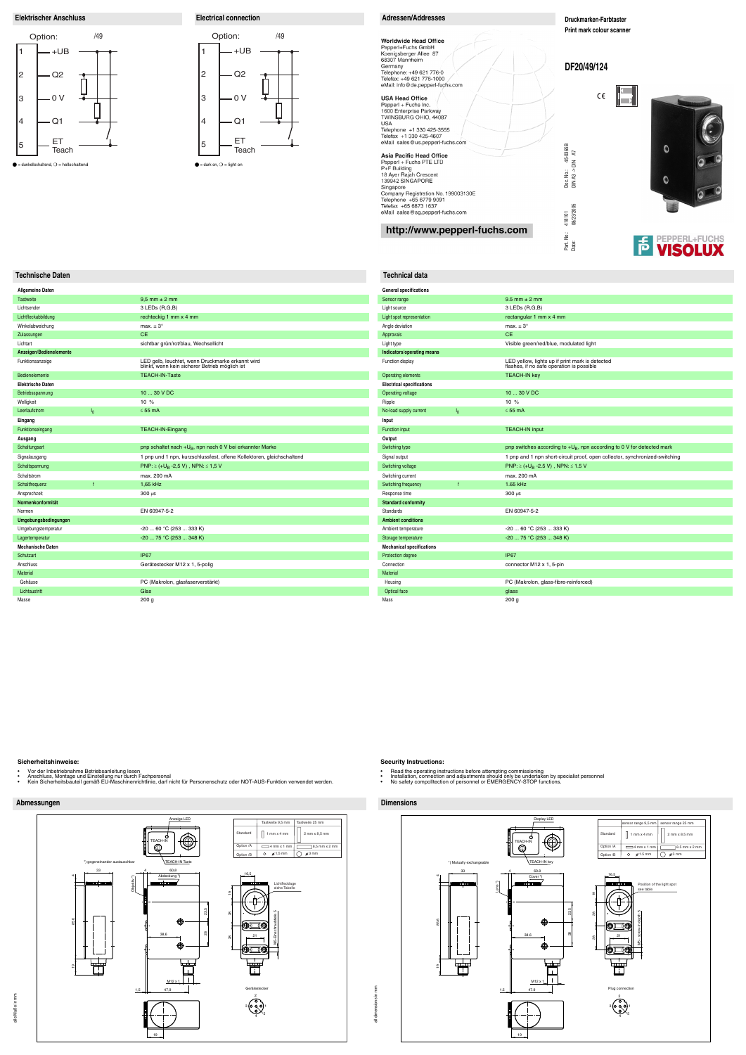alle Maße in mm

alle Maße in mm

# **Technische Daten Technical data**



**Sicherheitshinweise:**

∙ Vor der Inbetriebnahme Betriebsanleitung lesen<br>∙ Anschluss, Montage und Einstellung nur durch Fachpersonal<br>∙ Kein Sicherheitsbauteil gemäß EU-Maschinenrichtlinie, darf nicht für Personenschutz oder NOT-AUS-F

**Security Instructions:**

• Read the operating instructions before attempting commissioning<br>• Installation, connection and adjustments should only be undertaken by specialist personnel<br>• No safety compolitection of personnel or EMERGENC

all dimensions in mm

all dimensions in mm



## **Druckmarken-Farbtaster Print mark colour scanner**

 $C \in$ 

**DF20/49/124**

08/23/2005 Date: 08/23/2005 DIN A3 -> DIN

Part. No.:<br>Date:

Part. No.: 418101 Doc. No.: 45-0365B

Doc. No.: 45-0365B<br>DIN A3 -> DIN A7



PEPPERL+FUCHS 卡 **VISOLUX** 

| <b>Allgemeine Daten</b>  |                |                                                                                                    |
|--------------------------|----------------|----------------------------------------------------------------------------------------------------|
| <b>Tastweite</b>         |                | $9.5$ mm $\pm$ 2 mm                                                                                |
| Lichtsender              |                | 3 LEDs (R,G,B)                                                                                     |
| Lichtfleckabbildung      |                | rechteckig 1 mm x 4 mm                                                                             |
| Winkelabweichung         |                | max. $\pm 3^{\circ}$                                                                               |
| Zulassungen              |                | <b>CE</b>                                                                                          |
| Lichtart                 |                | sichtbar grün/rot/blau, Wechsellicht                                                               |
| Anzeigen/Bedienelemente  |                |                                                                                                    |
| Funktionsanzeige         |                | LED gelb, leuchtet, wenn Druckmarke erkannt wird<br>blinkt, wenn kein sicherer Betrieb möglich ist |
| Bedienelemente           |                | <b>TEACH-IN-Taste</b>                                                                              |
| <b>Elektrische Daten</b> |                |                                                                                                    |
| Betriebsspannung         |                | 10  30 V DC                                                                                        |
| Welligkeit               |                | $10\%$                                                                                             |
| Leerlaufstrom            | I <sub>0</sub> | $\leq 55$ mA                                                                                       |
| Eingang                  |                |                                                                                                    |
| Funktionseingang         |                | <b>TEACH-IN-Eingang</b>                                                                            |
| Ausgang                  |                |                                                                                                    |
| Schaltungsart            |                | pnp schaltet nach +U <sub>B</sub> , npn nach 0 V bei erkannter Marke                               |
| Signalausgang            |                | 1 pnp und 1 npn, kurzschlussfest, offene Kollektoren, gleichschaltend                              |
| Schaltspannung           |                | PNP: $\ge$ (+U <sub>B</sub> -2,5 V), NPN: $\le$ 1,5 V                                              |
| Schaltstrom              |                | max. 200 mA                                                                                        |
| Schaltfrequenz           | $\mathbf{f}$   | 1,65 kHz                                                                                           |
| Ansprechzeit             |                | 300 µs                                                                                             |
| Normenkonformität        |                |                                                                                                    |
| Normen                   |                | EN 60947-5-2                                                                                       |
| Umgebungsbedingungen     |                |                                                                                                    |
| Umgebungstemperatur      |                | $-20$ 60 °C (253  333 K)                                                                           |
| Lagertemperatur          |                | $-20$ 75 °C (253  348 K)                                                                           |
| <b>Mechanische Daten</b> |                |                                                                                                    |
| Schutzart                |                | <b>IP67</b>                                                                                        |
| Anschluss                |                | Gerätestecker M12 x 1, 5-polig                                                                     |
| Material                 |                |                                                                                                    |
| Gehäuse                  |                | PC (Makrolon, glasfaserverstärkt)                                                                  |
| Lichtaustritt            |                | Glas                                                                                               |
| Masse                    |                | 200 g                                                                                              |







 $\bullet$  = dunkellschaltend,  $\bigcirc$  = hellschaltend  $\bullet$  = dark on,  $\bigcirc$  = light on

Worldwide Head Office Pepperl+Fuchs GmbH<br>Koenigsberger Allee 87<br>68307 Mannheim Germany<br>
Telephone: +49 621 776-0<br>
Telefax: +49 621 776-1000 eMail: info@de.pepperl-fuchs.com USA Head Office<br>Pepperl + Fuchs Inc.<br>1600 Enterprise Parkway<br>TWINSBURG OHIO, 44087 USA USA<br>Telephone +1 330 425-3555<br>Telefax +1 330 425-4607 eMail sales@us.pepperl-fuchs.com Asia Pacific Head Office<br>Pepperl + Fuchs PTE LTD<br>P+F Building<br>18 Ayer Rajah Crescent<br>139942 SINGAPORE Singapore onigapore<br>Company Registration No. 199003130E<br>Telephone +65 6779 9091<br>Telefax +65 6873 1637 eMail sales@sg.pepperl-fuchs.com http://www.pepperl-fuchs.com

| <b>General specifications</b>    |                |                                                                                              |  |
|----------------------------------|----------------|----------------------------------------------------------------------------------------------|--|
| Sensor range                     |                | $9.5$ mm $\pm$ 2 mm                                                                          |  |
| Light source                     |                | $3$ LEDs $(R,G,B)$                                                                           |  |
| Light spot representation        |                | rectangular 1 mm x 4 mm                                                                      |  |
| Angle deviation                  |                | max. $\pm 3^{\circ}$                                                                         |  |
| Approvals                        |                | <b>CE</b>                                                                                    |  |
| Light type                       |                | Visible green/red/blue, modulated light                                                      |  |
| Indicators/operating means       |                |                                                                                              |  |
| Function display                 |                | LED yellow, lights up if print mark is detected<br>flashes, if no safe operation is possible |  |
| Operating elements               |                | <b>TEACH-IN key</b>                                                                          |  |
| <b>Electrical specifications</b> |                |                                                                                              |  |
| <b>Operating voltage</b>         |                | 10  30 V DC                                                                                  |  |
| Ripple                           |                | 10%                                                                                          |  |
| No-load supply current           | I <sub>0</sub> | $\leq$ 55 mA                                                                                 |  |
| Input                            |                |                                                                                              |  |
| Function input                   |                | <b>TEACH-IN input</b>                                                                        |  |
| Output                           |                |                                                                                              |  |
| Switching type                   |                | pnp switches according to +U <sub>B</sub> , npn according to 0 V for detected mark           |  |
| Signal output                    |                | 1 pnp and 1 npn short-circuit proof, open collector, synchronized-switching                  |  |
| Switching voltage                |                | PNP: $\ge$ (+U <sub>B</sub> -2.5 V), NPN: $\le$ 1.5 V                                        |  |
| Switching current                |                | max. 200 mA                                                                                  |  |
| Switching frequency              | $\mathbf{f}$   | 1.65 kHz                                                                                     |  |
| Response time                    |                | 300 µs                                                                                       |  |
| <b>Standard conformity</b>       |                |                                                                                              |  |
| <b>Standards</b>                 |                | EN 60947-5-2                                                                                 |  |
| <b>Ambient conditions</b>        |                |                                                                                              |  |
| Ambient temperature              |                | $-20$ 60 °C (253  333 K)                                                                     |  |
| Storage temperature              |                | -20  75 °C (253  348 K)                                                                      |  |
| <b>Mechanical specifications</b> |                |                                                                                              |  |
| Protection degree                |                | <b>IP67</b>                                                                                  |  |
| Connection                       |                | connector M12 x 1, 5-pin                                                                     |  |
| <b>Material</b>                  |                |                                                                                              |  |
| Housing                          |                | PC (Makrolon, glass-fibre-reinforced)                                                        |  |
| Optical face                     |                | glass                                                                                        |  |
| Mass                             |                | 200q                                                                                         |  |